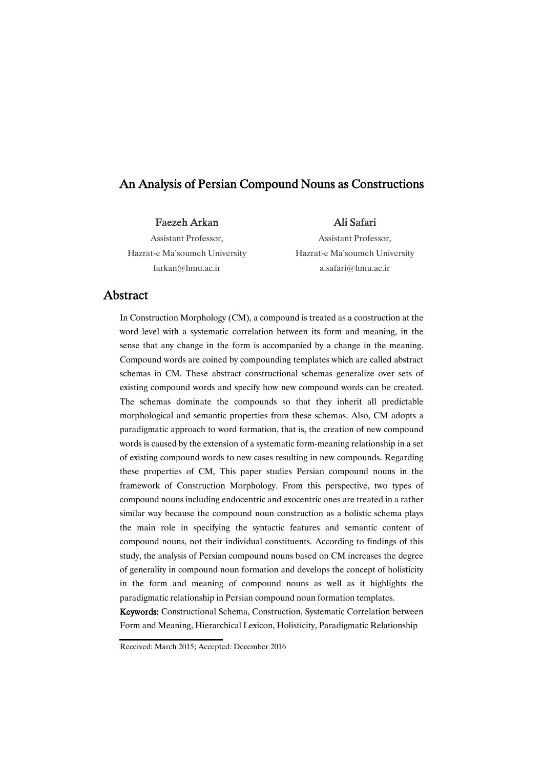# An Analysis of Persian Compound Nouns as Constructions

#### Faezeh Arkan

Assistant Professor, Hazrat-e Ma'soumeh University farkan@hmu.ac.ir

## AliSafari

Assistant Professor, Hazrat-e Ma'soumeh University a.safari@hmu.ac.ir

## Abstract

In Construction Morphology (CM), a compound is treated as a construction at the word level with a systematic correlation between its form and meaning, in the sense that any change in the form is accompanied by a change in the meaning. Compound words are coined by compounding templates which are called abstract schemas in CM. These abstract constructional schemas generalize over sets of existing compound words and specify how new compound words can be created. The schemas dominate the compounds so that they inherit all predictable morphological and semantic properties from these schemas. Also, CM adopts a paradigmatic approach to word formation, that is, the creation of new compound words is caused by the extension of a systematic form-meaning relationship in a set of existing compound words to new cases resulting in new compounds. Regarding these properties of CM, This paper studies Persian compound nouns in the framework of Construction Morphology. From this perspective, two types of compound nouns including endocentric and exocentric ones are treated in a rather similar way because the compound noun construction as a holistic schema plays the main role in specifying the syntactic features and semantic content of compound nouns, not their individual constituents. According to findings of this study, the analysis of Persian compound nouns based on CM increases the degree of generality in compound noun formation and develops the concept of holisticity in the form and meaning of compound nouns as well as it highlights the paradigmatic relationship in Persian compound noun formation templates.

Keywords:Constructional Schema, Construction, Systematic Correlation between Form and Meaning, Hierarchical Lexicon, Holisticity, Paradigmatic Relationship

Received: March 2015; Accepted: December 2016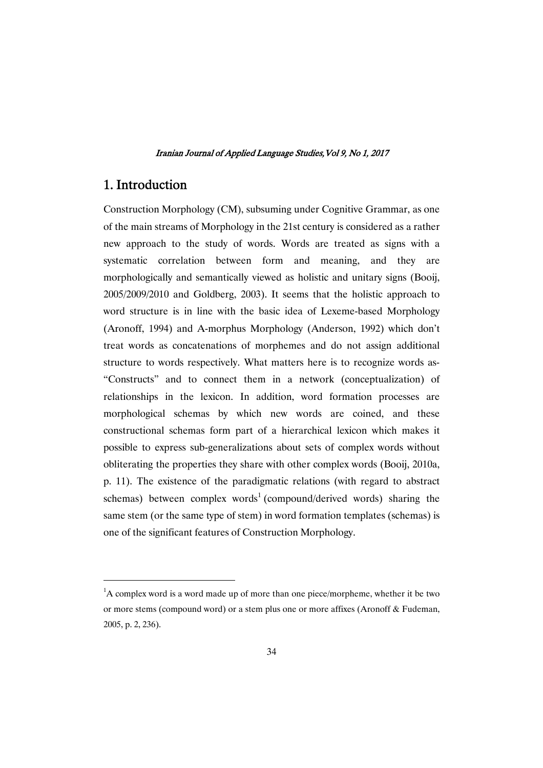# 1.Introduction

Construction Morphology (CM), subsuming under Cognitive Grammar, as one of the main streams of Morphology in the 21st century is considered as a rather new approach to the study of words. Words are treated as signs with a systematic correlation between form and meaning, and they are morphologically and semantically viewed as holistic and unitary signs (Booij, 2005/2009/2010 and Goldberg, 2003). It seems that the holistic approach to word structure is in line with the basic idea of Lexeme-based Morphology (Aronoff, 1994) and A-morphus Morphology (Anderson, 1992) which don't treat words as concatenations of morphemes and do not assign additional structure to words respectively. What matters here is to recognize words as- "Constructs" and to connect them in a network (conceptualization) of relationships in the lexicon. In addition, word formation processes are morphological schemas by which new words are coined, and these constructional schemas form part of a hierarchical lexicon which makes it possible to express sub-generalizations about sets of complex words without obliterating the properties they share with other complex words (Booij, 2010a, p. 11). The existence of the paradigmatic relations (with regard to abstract schemas) between complex words<sup>1</sup> (compound/derived words) sharing the same stem (or the same type of stem) in word formation templates (schemas) is one of the significant features of Construction Morphology.

<sup>&</sup>lt;sup>1</sup>A complex word is a word made up of more than one piece/morpheme, whether it be two or more stems (compound word) or a stem plus one or more affixes (Aronoff & Fudeman, 2005, p. 2, 236).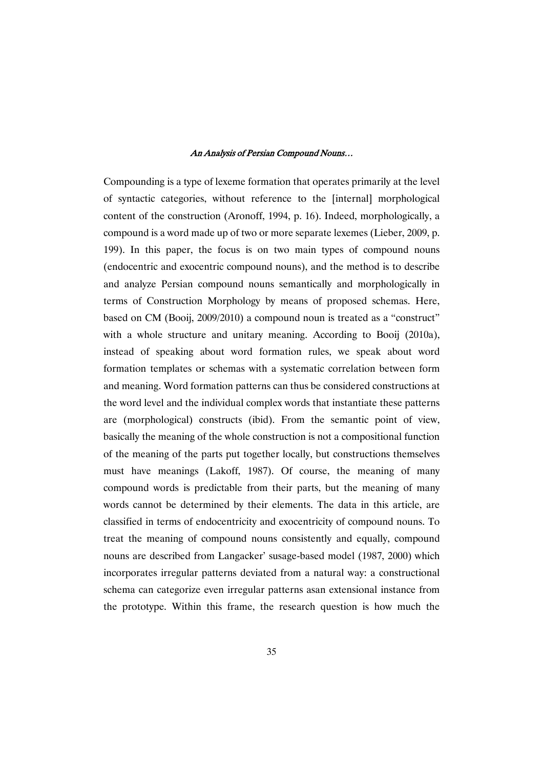Compounding is a type of lexeme formation that operates primarily at the level of syntactic categories, without reference to the [internal] morphological content of the construction (Aronoff, 1994, p. 16). Indeed, morphologically, a compound is a word made up of two or more separate lexemes (Lieber, 2009, p. 199). In this paper, the focus is on two main types of compound nouns (endocentric and exocentric compound nouns), and the method is to describe and analyze Persian compound nouns semantically and morphologically in terms of Construction Morphology by means of proposed schemas. Here, based on CM (Booij, 2009/2010) a compound noun is treated as a "construct" with a whole structure and unitary meaning. According to Booij (2010a), instead of speaking about word formation rules, we speak about word formation templates or schemas with a systematic correlation between form and meaning. Word formation patterns can thus be considered constructions at the word level and the individual complex words that instantiate these patterns are (morphological) constructs (ibid). From the semantic point of view, basically the meaning of the whole construction is not a compositional function of the meaning of the parts put together locally, but constructions themselves must have meanings (Lakoff, 1987). Of course, the meaning of many compound words is predictable from their parts, but the meaning of many words cannot be determined by their elements. The data in this article, are classified in terms of endocentricity and exocentricity of compound nouns. To treat the meaning of compound nouns consistently and equally, compound nouns are described from Langacker' susage-based model (1987, 2000) which incorporates irregular patterns deviated from a natural way: a constructional schema can categorize even irregular patterns asan extensional instance from the prototype. Within this frame, the research question is how much the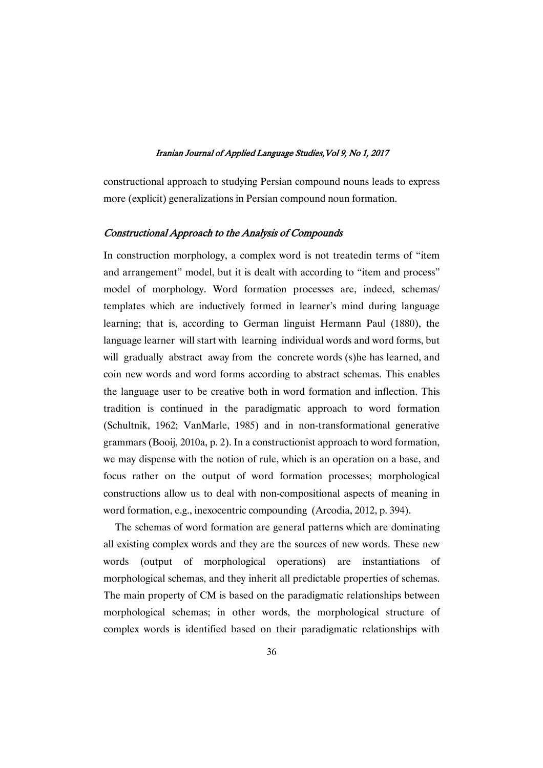constructional approach to studying Persian compound nouns leads to express more (explicit) generalizations in Persian compound noun formation.

#### Constructional Approach to the Analysis of Compounds

In construction morphology, a complex word is not treatedin terms of "item and arrangement" model, but it is dealt with according to "item and process" model of morphology. Word formation processes are, indeed, schemas/ templates which are inductively formed in learner's mind during language learning; that is, according to German linguist Hermann Paul (1880), the language learner will start with learning individual words and word forms, but will gradually abstract away from the concrete words (s) he has learned, and coin new words and word forms according to abstract schemas. This enables the language user to be creative both in word formation and inflection. This tradition is continued in the paradigmatic approach to word formation (Schultnik, 1962; VanMarle, 1985) and in non-transformational generative grammars (Booij, 2010a, p. 2). In a constructionist approach to word formation, we may dispense with the notion of rule, which is an operation on a base, and focus rather on the output of word formation processes; morphological constructions allow us to deal with non-compositional aspects of meaning in word formation, e.g., inexocentric compounding (Arcodia, 2012, p. 394).

The schemas of word formation are general patterns which are dominating all existing complex words and they are the sources of new words. These new words (output of morphological operations) are instantiations of morphological schemas, and they inherit all predictable properties of schemas. The main property of CM is based on the paradigmatic relationships between morphological schemas; in other words, the morphological structure of complex words is identified based on their paradigmatic relationships with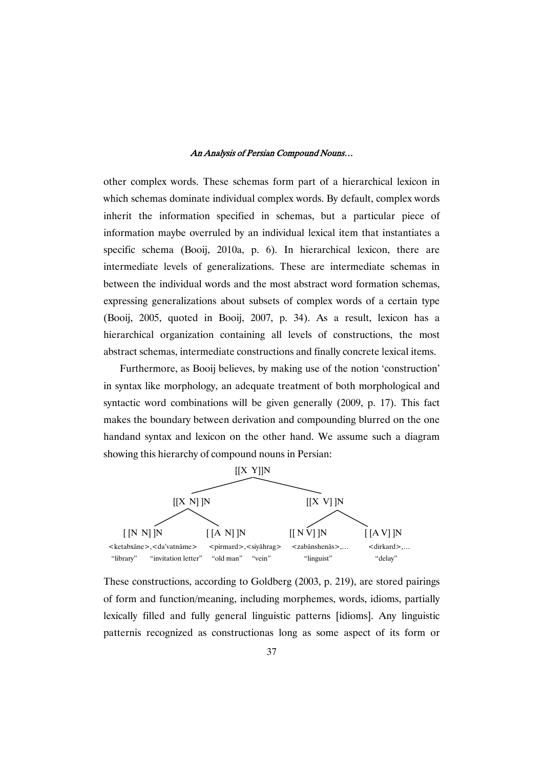other complex words. These schemas form part of a hierarchical lexicon in which schemas dominate individual complex words. By default, complex words inherit the information specified in schemas, but a particular piece of information maybe overruled by an individual lexical item that instantiates a specific schema (Booij, 2010a, p. 6). In hierarchical lexicon, there are intermediate levels of generalizations. These are intermediate schemas in between the individual words and the most abstract word formation schemas, expressing generalizations about subsets of complex words of a certain type (Booij, 2005, quoted in Booij, 2007, p. 34). As a result, lexicon has a hierarchical organization containing all levels of constructions, the most abstract schemas, intermediate constructions and finally concrete lexical items.

Furthermore, as Booij believes, by making use of the notion 'construction' in syntax like morphology, an adequate treatment of both morphological and syntactic word combinations will be given generally (2009, p. 17). This fact makes the boundary between derivation and compounding blurred on the one handand syntax and lexicon on the other hand. We assume such a diagram showing this hierarchy of compound nouns in Persian:



These constructions, according to Goldberg (2003, p. 219), are stored pairings of form and function/meaning, including morphemes, words, idioms, partially lexically filled and fully general linguistic patterns [idioms]. Any linguistic patternis recognized as constructionas long as some aspect of its form or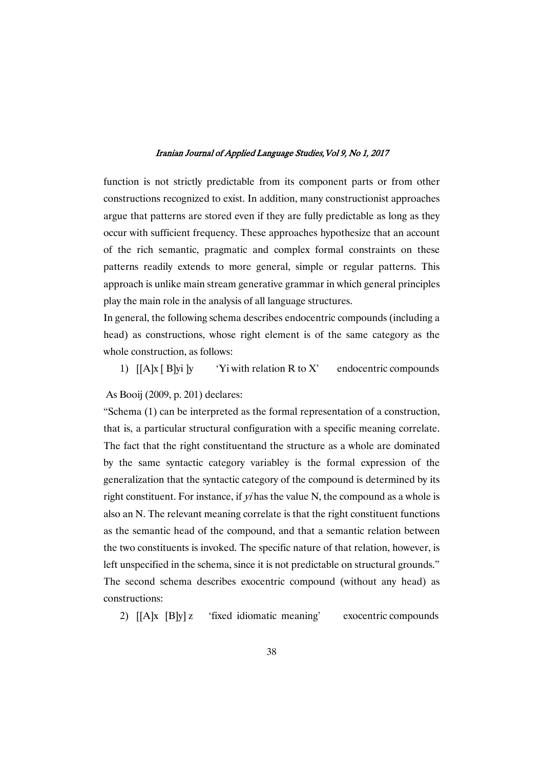function is not strictly predictable from its component parts or from other constructions recognized to exist. In addition, many constructionist approaches argue that patterns are stored even if they are fully predictable as long as they occur with sufficient frequency. These approaches hypothesize that an account of the rich semantic, pragmatic and complex formal constraints on these patterns readily extends to more general, simple or regular patterns. This approach is unlike main stream generative grammar in which general principles play the main role in the analysis of all language structures.

In general, the following schema describes endocentric compounds (including a head) as constructions, whose right element is of the same category as the whole construction, as follows:

1)  $\left[ [\text{A}]_X [\text{B}]_y \right]$  'Yi with relation R to X' endocentric compounds

As Booij (2009, p. 201) declares:

"Schema (1) can be interpreted as the formal representation of a construction, that is, a particular structural configuration with a specific meaning correlate. The fact that the right constituentand the structure as a whole are dominated by the same syntactic category variabley is the formal expression of the generalization that the syntactic category of the compound is determined by its right constituent. For instance, if  $y_i$  has the value N, the compound as a whole is also an N. The relevant meaning correlate is that the right constituent functions as the semantic head of the compound, and that a semantic relation between the two constituents is invoked. The specific nature of that relation, however, is left unspecified in the schema, since it is not predictable on structural grounds." The second schema describes exocentric compound (without any head) as constructions:

2) [[A]x [B]y] z 'fixed idiomatic meaning' exocentric compounds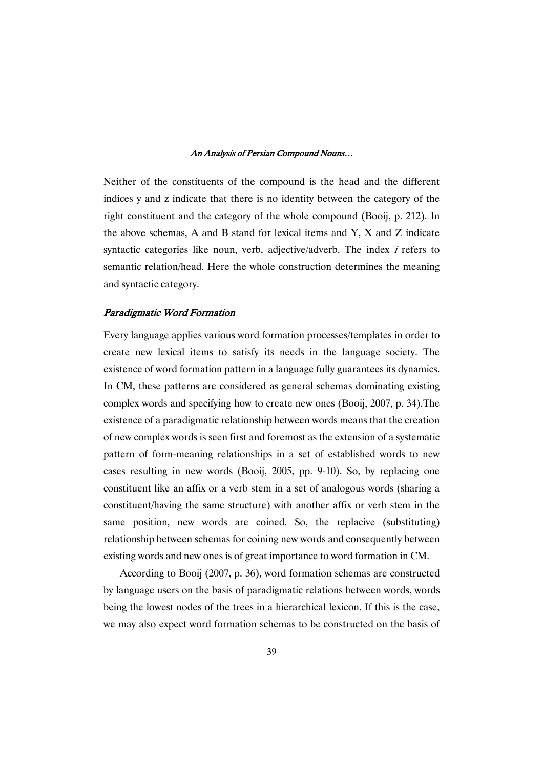Neither of the constituents of the compound is the head and the different indices y and z indicate that there is no identity between the category of the right constituent and the category of the whole compound (Booij, p. 212). In the above schemas, A and B stand for lexical items and Y, X and Z indicate syntactic categories like noun, verb, adjective/adverb. The index  $i$  refers to semantic relation/head. Here the whole construction determines the meaning and syntactic category.

#### Paradigmatic Word Formation

Every language applies various word formation processes/templates in order to create new lexical items to satisfy its needs in the language society. The existence of word formation pattern in a language fully guarantees its dynamics. In CM, these patterns are considered as general schemas dominating existing complex words and specifying how to create new ones (Booij, 2007, p. 34).The existence of a paradigmatic relationship between words means that the creation of new complex words is seen first and foremost as the extension of a systematic pattern of form-meaning relationships in a set of established words to new cases resulting in new words (Booij, 2005, pp. 9-10). So, by replacing one constituent like an affix or a verb stem in a set of analogous words (sharing a constituent/having the same structure) with another affix or verb stem in the same position, new words are coined. So, the replacive (substituting) relationship between schemas for coining new words and consequently between existing words and new ones is of great importance to word formation in CM.

According to Booij (2007, p. 36), word formation schemas are constructed by language users on the basis of paradigmatic relations between words, words being the lowest nodes of the trees in a hierarchical lexicon. If this is the case, we may also expect word formation schemas to be constructed on the basis of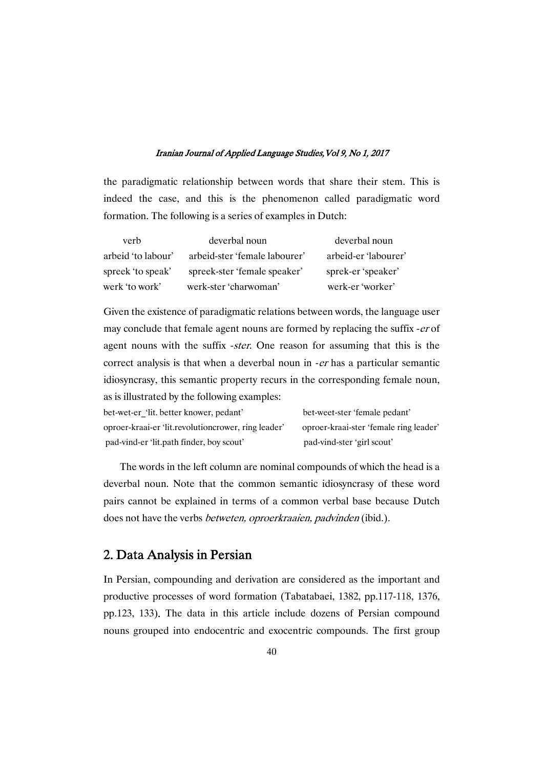the paradigmatic relationship between words that share their stem. This is indeed the case, and this is the phenomenon called paradigmatic word formation. The following is a series of examples in Dutch:

| verb               | deverbal noun                 | deverbal noun        |
|--------------------|-------------------------------|----------------------|
| arbeid 'to labour' | arbeid-ster 'female labourer' | arbeid-er 'labourer' |
| spreek 'to speak'  | spreek-ster 'female speaker'  | sprek-er 'speaker'   |
| werk 'to work'     | werk-ster 'charwoman'         | werk-er 'worker'     |

Given the existence of paradigmatic relations between words, the language user may conclude that female agent nouns are formed by replacing the suffix -er of agent nouns with the suffix -ster. One reason for assuming that this is the correct analysis is that when a deverbal noun in -er has a particular semantic idiosyncrasy, this semantic property recurs in the corresponding female noun, as is illustrated by the following examples:

| bet-wet-er 'lit. better knower, pedant'             | bet-weet-ster 'female pedant'          |
|-----------------------------------------------------|----------------------------------------|
| oproer-kraai-er 'lit.revolutioncrower, ring leader' | oproer-kraai-ster 'female ring leader' |
| pad-vind-er 'lit.path finder, boy scout'            | pad-vind-ster 'girl scout'             |

The words in the left column are nominal compounds of which the head is a deverbal noun. Note that the common semantic idiosyncrasy of these word pairs cannot be explained in terms of a common verbal base because Dutch does not have the verbs *betweten, oproerkraaien, padvinden* (ibid.).

# 2. Data Analysis in Persian

In Persian, compounding and derivation are considered as the important and productive processes of word formation (Tabatabaei, 1382, pp.117-118, 1376, pp.123, 133). The data in this article include dozens of Persian compound nouns grouped into endocentric and exocentric compounds. The first group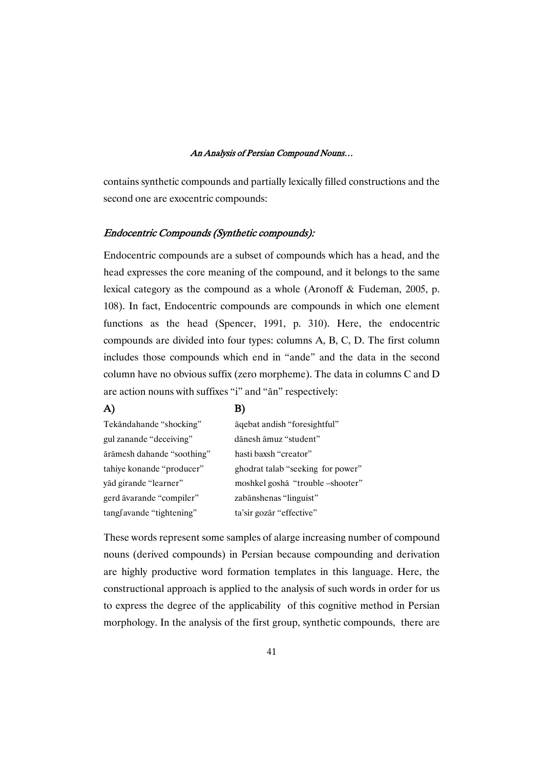contains synthetic compounds and partially lexically filled constructions and the second one are exocentric compounds:

## Endocentric Compounds (Synthetic compounds):

Endocentric compounds are a subset of compounds which has a head, and the head expresses the core meaning of the compound, and it belongs to the same lexical category as the compound as a whole (Aronoff & Fudeman, 2005, p. 108). In fact, Endocentric compounds are compounds in which one element functions as the head (Spencer, 1991, p. 310). Here, the endocentric compounds are divided into four types: columns A, B, C, D. The first column includes those compounds which end in "ande" and the data in the second column have no obvious suffix (zero morpheme). The data in columns C and D are action nouns with suffixes "i" and "an" respectively:

### $(A)$  B)

| Tekāndahande "shocking"    | aqebat andish "foresightful"      |
|----------------------------|-----------------------------------|
| gul zanande "deceiving"    | dānesh āmuz "student"             |
| ārāmesh dahande "soothing" | hasti baxsh "creator"             |
| tahiye konande "producer"  | ghodrat talab "seeking for power" |
| yād girande "learner"      | moshkel goshā "trouble -shooter"  |
| gerd āvarande "compiler"   | zabānshenas "linguist"            |
| tangfavande "tightening"   | ta'sir gozār "effective"          |

These words represent some samples of alarge increasing number of compound nouns (derived compounds) in Persian because compounding and derivation are highly productive word formation templates in this language. Here, the constructional approach is applied to the analysis of such words in order for us to express the degree of the applicability of this cognitive method in Persian morphology. In the analysis of the first group, synthetic compounds, there are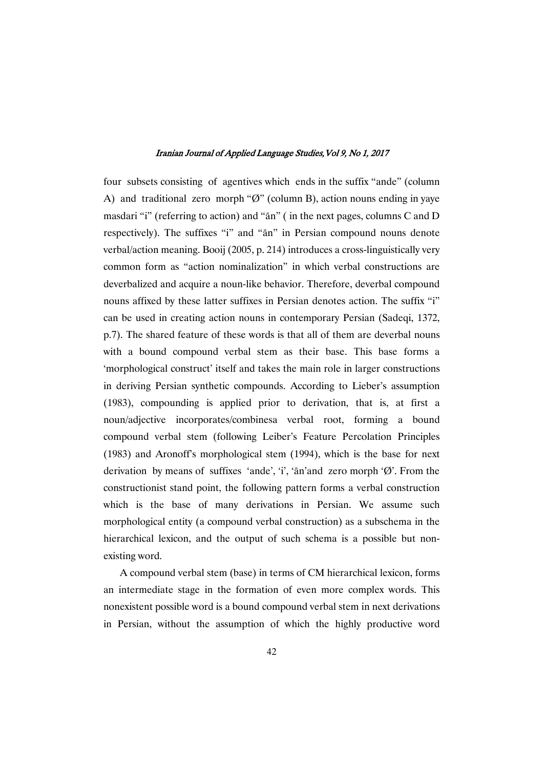four subsets consisting of agentives which ends in the suffix "ande" (column A) and traditional zero morph " $\emptyset$ " (column B), action nouns ending in yaye masdari "i" (referring to action) and " $\bar{a}$ " ( in the next pages, columns C and D respectively). The suffixes "i" and "an" in Persian compound nouns denote verbal/action meaning. Booij (2005, p. 214) introduces a cross-linguistically very common form as "action nominalization" in which verbal constructions are deverbalized and acquire a noun-like behavior. Therefore, deverbal compound nouns affixed by these latter suffixes in Persian denotes action. The suffix "i" can be used in creating action nouns in contemporary Persian (Sadeqi, 1372, p.7). The shared feature of these words is that all of them are deverbal nouns with a bound compound verbal stem as their base. This base forms a 'morphological construct' itself and takes the main role in larger constructions in deriving Persian synthetic compounds. According to Lieber's assumption (1983), compounding is applied prior to derivation, that is, at first a noun/adjective incorporates/combinesa verbal root, forming a bound compound verbal stem (following Leiber's Feature Percolation Principles (1983) and Aronoff's morphological stem (1994), which is the base for next derivation by means of suffixes 'ande', 'i', 'an'and zero morph ' $\emptyset$ '. From the constructionist stand point, the following pattern forms a verbal construction which is the base of many derivations in Persian. We assume such morphological entity (a compound verbal construction) as a subschema in the hierarchical lexicon, and the output of such schema is a possible but nonexisting word.

A compound verbal stem (base) in terms of CM hierarchical lexicon, forms an intermediate stage in the formation of even more complex words. This nonexistent possible word is a bound compound verbal stem in next derivations in Persian, without the assumption of which the highly productive word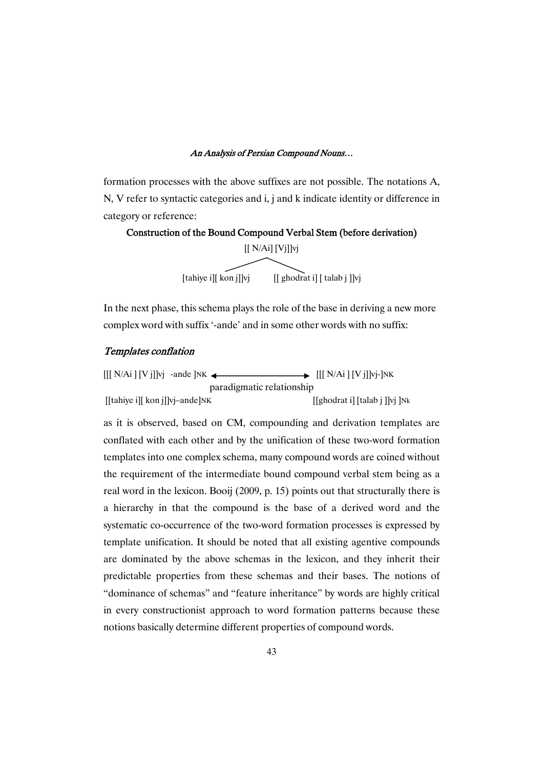formation processes with the above suffixes are not possible. The notations A, N, V refer to syntactic categories and i, j and k indicate identity or difference in category or reference:

#### Construction of the Bound Compound Verbal Stem (before derivation)



In the next phase, this schema plays the role of the base in deriving a new more complex word with suffix '-ande' and in some other words with no suffix:

### Templates conflation

| $[[[N/Ai][Vj]]$ vj -ande  NK $\triangleleft$ | $\rightarrow$ [[[N/Ai][V j]]vj-]NK |  |  |
|----------------------------------------------|------------------------------------|--|--|
| paradigmatic relationship                    |                                    |  |  |
| [[tahiye i][ kon j]]vj-ande]NK               | [[ghodrat i] [talab j ]]vj ]Nk     |  |  |

as it is observed, based on CM, compounding and derivation templates are conflated with each other and by the unification of these two-word formation templates into one complex schema, many compound words are coined without the requirement of the intermediate bound compound verbal stem being as a real word in the lexicon. Booij (2009, p. 15) points out that structurally there is a hierarchy in that the compound is the base of a derived word and the systematic co-occurrence of the two-word formation processes is expressed by template unification. It should be noted that all existing agentive compounds are dominated by the above schemas in the lexicon, and they inherit their predictable properties from these schemas and their bases. The notions of "dominance of schemas" and "feature inheritance" by words are highly critical in every constructionist approach to word formation patterns because these notions basically determine different properties of compound words.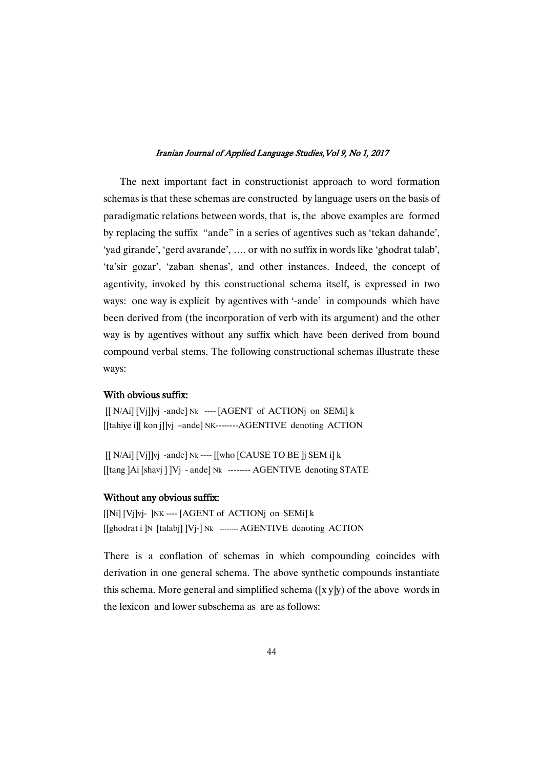The next important fact in constructionist approach to word formation schemas is that these schemas are constructed by language users on the basis of paradigmatic relations between words, that is, the above examples are formed by replacing the suffix "ande" in a series of agentives such as 'tekan dahande', 'yad girande', 'gerd avarande', …. or with no suffix in words like 'ghodrat talab', 'ta'sir gozar', 'zaban shenas', and other instances. Indeed, the concept of agentivity, invoked by this constructional schema itself, is expressed in two ways: one way is explicit by agentives with '-ande' in compounds which have been derived from (the incorporation of verb with its argument) and the other way is by agentives without any suffix which have been derived from bound compound verbal stems. The following constructional schemas illustrate these ways:

## With obvious suffix:

 $[[ N/Ai] [ Vj] ]$ vj -ande] Nk ---- [AGENT of ACTIONj on SEMi] k [[tahiye i][ kon j]]vj –ande] NK--------AGENTIVE denoting ACTION

 $[[ N/Ai] [ Vj] ]vi$  -ande] Nk ----  $[[ who [CAUSE TO BE] j SEM j] k$  $[$ [tang ]Ai [shavj ] ]Vj - ande] Nk -------- AGENTIVE denoting STATE

### Without any obvious suffix:

[[Ni] [Vj]vj- ]NK ---- [AGENT of ACTIONj on SEMi] k [[ghodrat i ]N [talabj] ]Vj-] Nk -------- AGENTIVE denoting ACTION

There is a conflation of schemas in which compounding coincides with derivation in one general schema. The above synthetic compounds instantiate this schema. More general and simplified schema ([x y]y) of the above words in the lexicon and lower subschema as are as follows: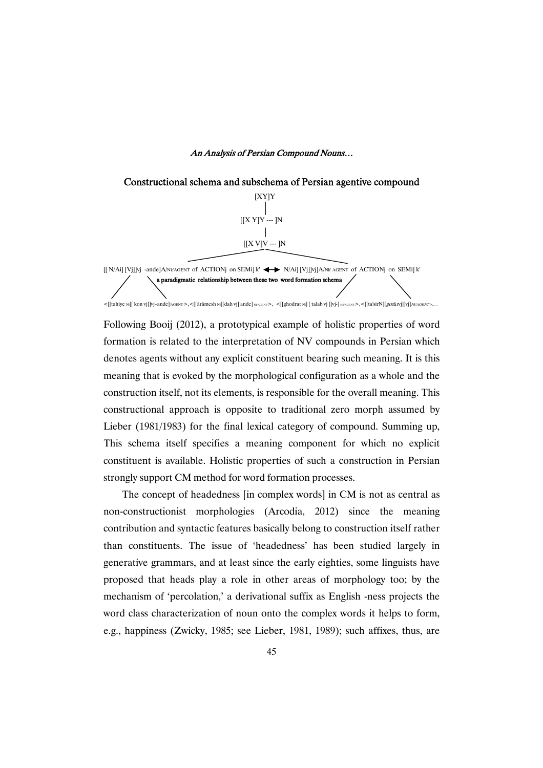

Following Booij (2012), a prototypical example of holistic properties of word formation is related to the interpretation of NV compounds in Persian which denotes agents without any explicit constituent bearing such meaning. It is this meaning that is evoked by the morphological configuration as a whole and the construction itself, not its elements, is responsible for the overall meaning. This constructional approach is opposite to traditional zero morph assumed by Lieber (1981/1983) for the final lexical category of compound. Summing up, This schema itself specifies a meaning component for which no explicit constituent is available. Holistic properties of such a construction in Persian strongly support CM method for word formation processes.

The concept of headedness [in complex words] in CM is not as central as non-constructionist morphologies (Arcodia, 2012) since the meaning contribution and syntactic features basically belong to construction itself rather than constituents. The issue of 'headedness' has been studied largely in generative grammars, and at least since the early eighties, some linguists have proposed that heads play a role in other areas of morphology too; by the mechanism of 'percolation,' a derivational suffix as English -ness projects the word class characterization of noun onto the complex words it helps to form, e.g., happiness (Zwicky, 1985; see Lieber, 1981, 1989); such affixes, thus, are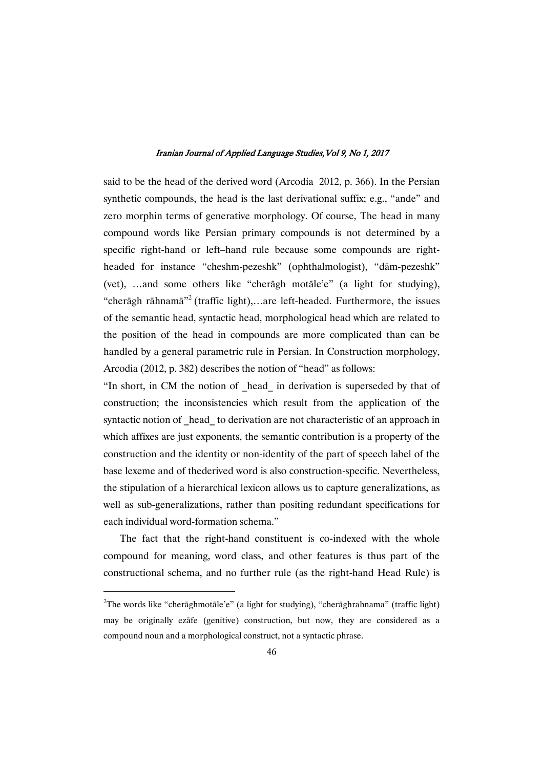said to be the head of the derived word (Arcodia 2012, p. 366). In the Persian synthetic compounds, the head is the last derivational suffix; e.g., "ande" and zero morphin terms of generative morphology. Of course, The head in many compound words like Persian primary compounds is not determined by a specific right-hand or left–hand rule because some compounds are rightheaded for instance "cheshm-pezeshk" (ophthalmologist), "dām-pezeshk" (vet), …and some others like "cheragh motale'e" (a light for studying), "cherāgh rāhnamā"<sup>2</sup> (traffic light),...are left-headed. Furthermore, the issues of the semantic head, syntactic head, morphological head which are related to the position of the head in compounds are more complicated than can be handled by a general parametric rule in Persian. In Construction morphology, Arcodia (2012, p. 382) describes the notion of "head" as follows:

"In short, in CM the notion of \_head\_ in derivation is superseded by that of construction; the inconsistencies which result from the application of the syntactic notion of head to derivation are not characteristic of an approach in which affixes are just exponents, the semantic contribution is a property of the construction and the identity or non-identity of the part of speech label of the base lexeme and of thederived word is also construction-specific. Nevertheless, the stipulation of a hierarchical lexicon allows us to capture generalizations, as well as sub-generalizations, rather than positing redundant specifications for each individual word-formation schema."

The fact that the right-hand constituent is co-indexed with the whole compound for meaning, word class, and other features is thus part of the constructional schema, and no further rule (as the right-hand Head Rule) is

<sup>&</sup>lt;sup>2</sup>The words like "cherāghmotāle'e" (a light for studying), "cherāghrahnama" (traffic light) may be originally ezafe (genitive) construction, but now, they are considered as a compound noun and a morphological construct, not a syntactic phrase.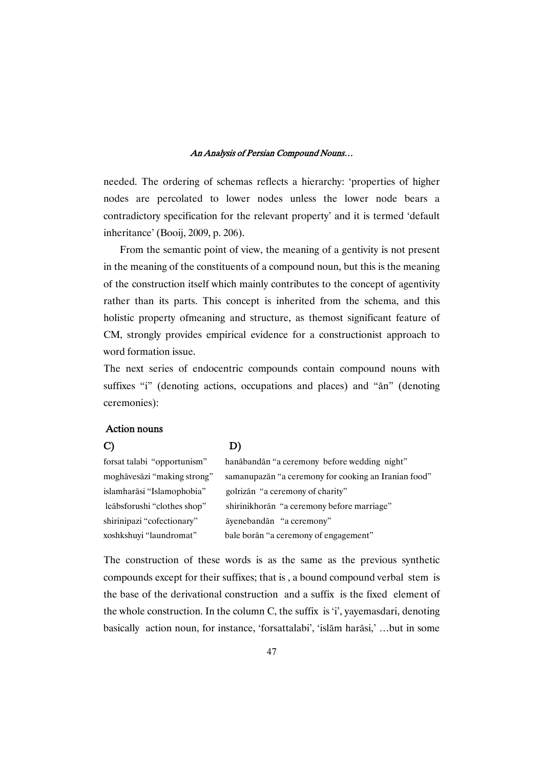needed. The ordering of schemas reflects a hierarchy: 'properties of higher nodes are percolated to lower nodes unless the lower node bears a contradictory specification for the relevant property' and it is termed 'default inheritance' (Booij, 2009, p. 206).

From the semantic point of view, the meaning of a gentivity is not present in the meaning of the constituents of a compound noun, but this is the meaning of the construction itself which mainly contributes to the concept of agentivity rather than its parts. This concept is inherited from the schema, and this holistic property ofmeaning and structure, as themost significant feature of CM, strongly provides empirical evidence for a constructionist approach to word formation issue.

The next series of endocentric compounds contain compound nouns with suffixes "i" (denoting actions, occupations and places) and "an" (denoting ceremonies):

## **Action nouns**

## C) D)

islamharāsi "Islamophobia" golrizān "a ceremony of charity" shirinipazi "cofectionary" ayenebandān "a ceremony"

forsat talabi "opportunism" hanābandān "a ceremony before wedding night" moghāvesāzi "making strong" samanupazān "a ceremony for cooking an Iranian food" leābsforushi "clothes shop" shirinikhorān "a ceremony before marriage" xoshkshuyi "laundromat" bale borān "a ceremony of engagement"

The construction of these words is as the same as the previous synthetic compounds except for their suffixes; that is , a bound compound verbal stem is the base of the derivational construction and a suffix is the fixed element of the whole construction. In the column C, the suffix is 'i', yayemasdari, denoting basically action noun, for instance, 'forsattalabi', 'islām harāsi,' ...but in some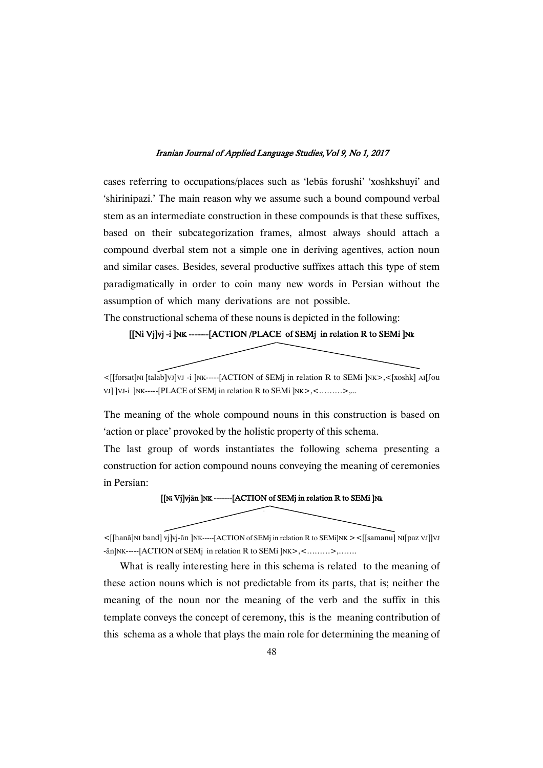cases referring to occupations/places such as 'lebas forushi' 'xoshkshuyi' and 'shirinipazi.' The main reason why we assume such a bound compound verbal stem as an intermediate construction in these compounds is that these suffixes, based on their subcategorization frames, almost always should attach a compound dverbal stem not a simple one in deriving agentives, action noun and similar cases. Besides, several productive suffixes attach this type of stem paradigmatically in order to coin many new words in Persian without the assumption of which many derivations are not possible.

The constructional schema of these nouns is depicted in the following:

## [[Ni Vj]vj-i ]NK -------[ACTION /PLACE of SEMj in relation R to SEMi ]Nk

<[[forsat]NI [talab]VJ]VJ -i ]NK-----[ACTION of SEMj in relation R to SEMi ]NK>,<[xoshk] AI[Uou VJ] ]VJ-i ]NK-----[PLACE of SEMj in relation R to SEMi ]NK>,<.........>,...

The meaning of the whole compound nouns in this construction is based on 'action or place' provoked by the holistic property of this schema.

The last group of words instantiates the following schema presenting a construction for action compound nouns conveying the meaning of ceremonies in Persian:

#### [[Ni Vj]vjān ]NK -------[ACTION of SEMj in relation R to SEMi ]Nk



 $\leq$ [[hanā]NI band] vi]vj-ān ]NK-----[ACTION of SEMj in relation R to SEMi]NK  $\geq$   $\leq$ [[samanu] NI[paz VJ]]VJ  $-\frac{\pi n}{N}$ |NK-----[ACTION of SEM<sub>i</sub> in relation R to SEMi  $|NK\rangle,$ <.........>,.......

What is really interesting here in this schema is related to the meaning of these action nouns which is not predictable from its parts, that is; neither the meaning of the noun nor the meaning of the verb and the suffix in this template conveys the concept of ceremony, this is the meaning contribution of this schema as a whole that plays the main role for determining the meaning of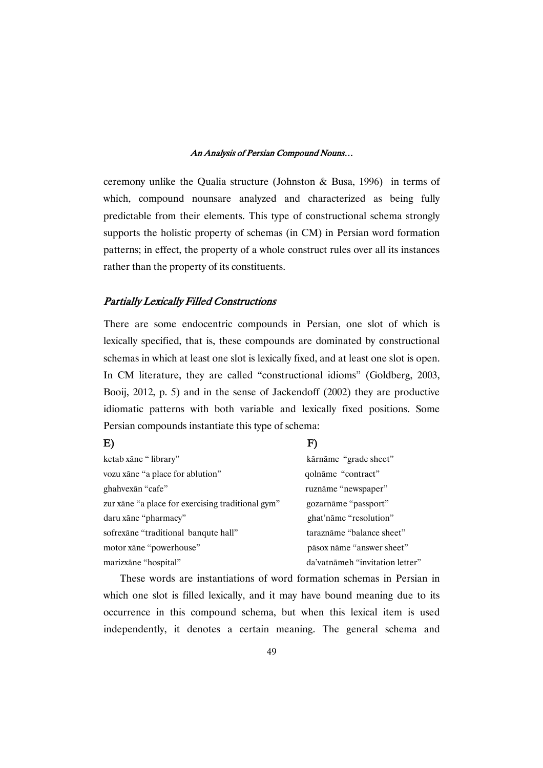ceremony unlike the Qualia structure (Johnston & Busa, 1996) in terms of which, compound nounsare analyzed and characterized as being fully predictable from their elements. This type of constructional schema strongly supports the holistic property of schemas (in CM) in Persian word formation patterns; in effect, the property of a whole construct rules over all its instances rather than the property of its constituents.

### Partially Lexically Filled Constructions

There are some endocentric compounds in Persian, one slot of which is lexically specified, that is, these compounds are dominated by constructional schemas in which at least one slot is lexically fixed, and at least one slot is open. In CM literature, they are called "constructional idioms" (Goldberg, 2003, Booij, 2012, p. 5) and in the sense of Jackendoff (2002) they are productive idiomatic patterns with both variable and lexically fixed positions. Some Persian compounds instantiate this type of schema:

#### E) F)

| ketab xāne "library"                              | kārnāme "grade sheet"           |
|---------------------------------------------------|---------------------------------|
| vozu xāne "a place for ablution"                  | qolnāme "contract"              |
| ghahvexan "cafe"                                  | ruznāme "newspaper"             |
| zur xane "a place for exercising traditional gym" | gozarnāme "passport"            |
| daru xāne "pharmacy"                              | ghat'name "resolution"          |
| sofrexane "traditional banquite hall"             | taraznāme "balance sheet"       |
| motor xāne "powerhouse"                           | pāsox nāme "answer sheet"       |
| marizxane "hospital"                              | da'vatnämeh "invitation letter" |

These words are instantiations of word formation schemas in Persian in which one slot is filled lexically, and it may have bound meaning due to its occurrence in this compound schema, but when this lexical item is used independently, it denotes a certain meaning. The general schema and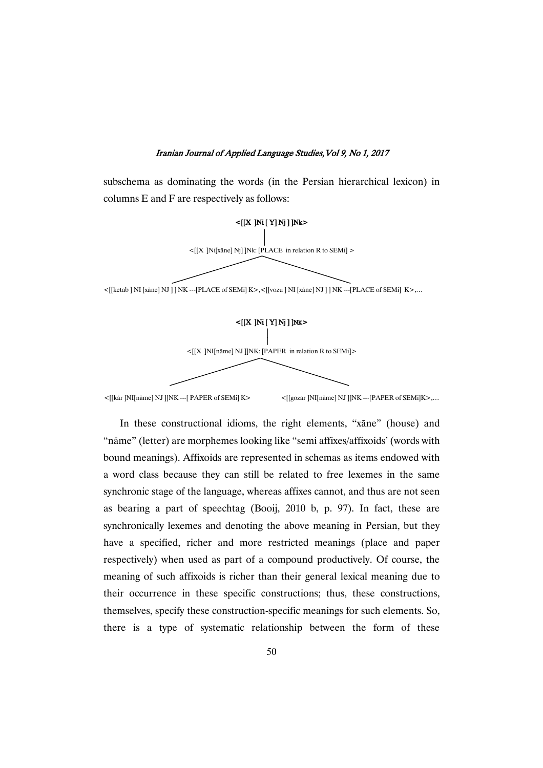subschema as dominating the words (in the Persian hierarchical lexicon) in columns E and F are respectively as follows:



<[[kār ]NI[nāme] NJ ]]NK ---[ PAPER of SEMi] K> <[[gozar ]NI[nāme] NJ ]]NK ---[PAPER of SEMi]K>,...

In these constructional idioms, the right elements, "xane" (house) and "nāme" (letter) are morphemes looking like "semi affixes/affixoids' (words with bound meanings). Affixoids are represented in schemas as items endowed with a word class because they can still be related to free lexemes in the same synchronic stage of the language, whereas affixes cannot, and thus are not seen as bearing a part of speechtag (Booij, 2010 b, p. 97). In fact, these are synchronically lexemes and denoting the above meaning in Persian, but they have a specified, richer and more restricted meanings (place and paper respectively) when used as part of a compound productively. Of course, the meaning of such affixoids is richer than their general lexical meaning due to their occurrence in these specific constructions; thus, these constructions, themselves, specify these construction-specific meanings for such elements. So, there is a type of systematic relationship between the form of these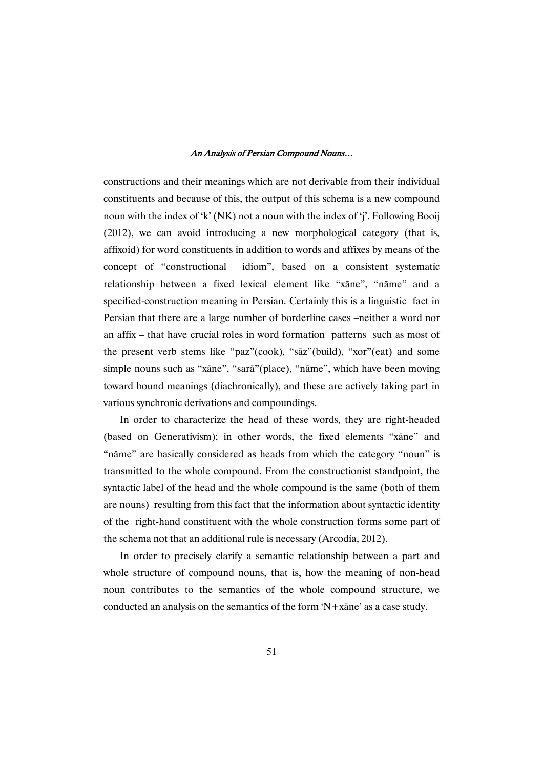constructions and their meanings which are not derivable from their individual constituents and because of this, the output of this schema is a new compound noun with the index of 'k' (NK) not a noun with the index of 'j'. Following Booij (2012), we can avoid introducing a new morphological category (that is, affixoid) for word constituents in addition to words and affixes by means of the concept of "constructional idiom", based on a consistent systematic relationship between a fixed lexical element like "xane", "name" and a specified-construction meaning in Persian. Certainly this is a linguistic fact in Persian that there are a large number of borderline cases –neither a word nor an affix – that have crucial roles in word formation patterns such as most of the present verb stems like "paz"(cook), "sāz"(build), "xor"(eat) and some simple nouns such as "xāne", "sarā"(place), "nāme", which have been moving toward bound meanings (diachronically), and these are actively taking part in various synchronic derivations and compoundings.

In order to characterize the head of these words, they are right-headed (based on Generativism); in other words, the fixed elements "xane" and "nāme" are basically considered as heads from which the category "noun" is transmitted to the whole compound. From the constructionist standpoint, the syntactic label of the head and the whole compound is the same (both of them are nouns) resulting from this fact that the information about syntactic identity of the right-hand constituent with the whole construction forms some part of the schema not that an additional rule is necessary (Arcodia, 2012).

In order to precisely clarify a semantic relationship between a part and whole structure of compound nouns, that is, how the meaning of non-head noun contributes to the semantics of the whole compound structure, we conducted an analysis on the semantics of the form  $N+x$  and a case study.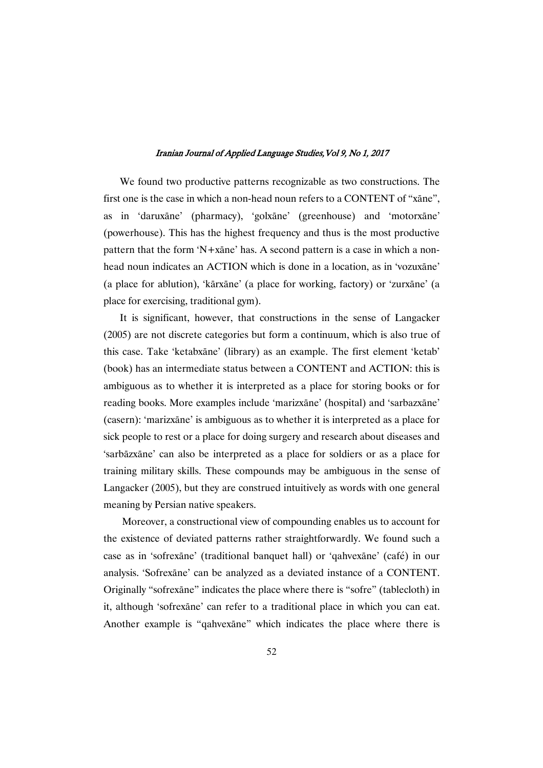We found two productive patterns recognizable as two constructions. The first one is the case in which a non-head noun refers to a CONTENT of "xane", as in 'daruxāne' (pharmacy), 'golxāne' (greenhouse) and 'motorxāne' (powerhouse). This has the highest frequency and thus is the most productive pattern that the form 'N+xane' has. A second pattern is a case in which a nonhead noun indicates an ACTION which is done in a location, as in 'vozuxane' (a place for ablution), 'kārxāne' (a place for working, factory) or 'zurxāne' (a place for exercising, traditional gym).

It is significant, however, that constructions in the sense of Langacker (2005) are not discrete categories but form a continuum, which is also true of this case. Take 'ketabxane' (library) as an example. The first element 'ketab' (book) has an intermediate status between a CONTENT and ACTION: this is ambiguous as to whether it is interpreted as a place for storing books or for reading books. More examples include 'marizxane' (hospital) and 'sarbazxane' (casern): 'marizxane' is ambiguous as to whether it is interpreted as a place for sick people to rest or a place for doing surgery and research about diseases and 'sarbāzxāne' can also be interpreted as a place for soldiers or as a place for training military skills. These compounds may be ambiguous in the sense of Langacker (2005), but they are construed intuitively as words with one general meaning by Persian native speakers.

Moreover, a constructional view of compounding enables us to account for the existence of deviated patterns rather straightforwardly. We found such a case as in 'sofrexane' (traditional banquet hall) or 'qahvexane' (café) in our analysis. 'Sofrexane' can be analyzed as a deviated instance of a CONTENT. Originally "sofrexane" indicates the place where there is "sofre" (tablecloth) in it, although 'sofrexane' can refer to a traditional place in which you can eat. Another example is "qahvexane" which indicates the place where there is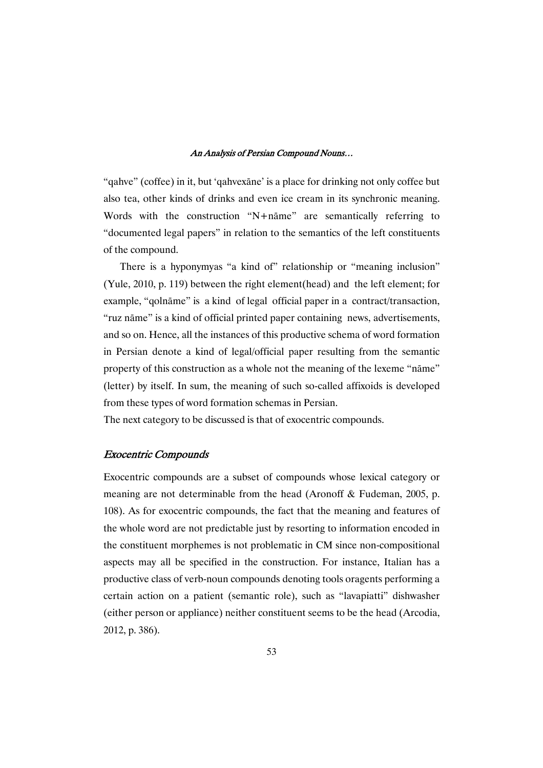"qahve" (coffee) in it, but 'qahvexane' is a place for drinking not only coffee but also tea, other kinds of drinks and even ice cream in its synchronic meaning. Words with the construction "N+n $\bar{a}$ me" are semantically referring to "documented legal papers" in relation to the semantics of the left constituents of the compound.

There is a hyponymyas "a kind of" relationship or "meaning inclusion" (Yule, 2010, p. 119) between the right element(head) and the left element; for example, "qolnāme" is a kind of legal official paper in a contract/transaction, "ruz nāme" is a kind of official printed paper containing news, advertisements, and so on. Hence, all the instances of this productive schema of word formation in Persian denote a kind of legal/official paper resulting from the semantic property of this construction as a whole not the meaning of the lexeme "name" (letter) by itself. In sum, the meaning of such so-called affixoids is developed from these types of word formation schemas in Persian.

The next category to be discussed is that of exocentric compounds.

### **Exocentric Compounds**

Exocentric compounds are a subset of compounds whose lexical category or meaning are not determinable from the head (Aronoff & Fudeman, 2005, p. 108). As for exocentric compounds, the fact that the meaning and features of the whole word are not predictable just by resorting to information encoded in the constituent morphemes is not problematic in CM since non-compositional aspects may all be specified in the construction. For instance, Italian has a productive class of verb-noun compounds denoting tools oragents performing a certain action on a patient (semantic role), such as "lavapiatti" dishwasher (either person or appliance) neither constituent seems to be the head (Arcodia, 2012, p. 386).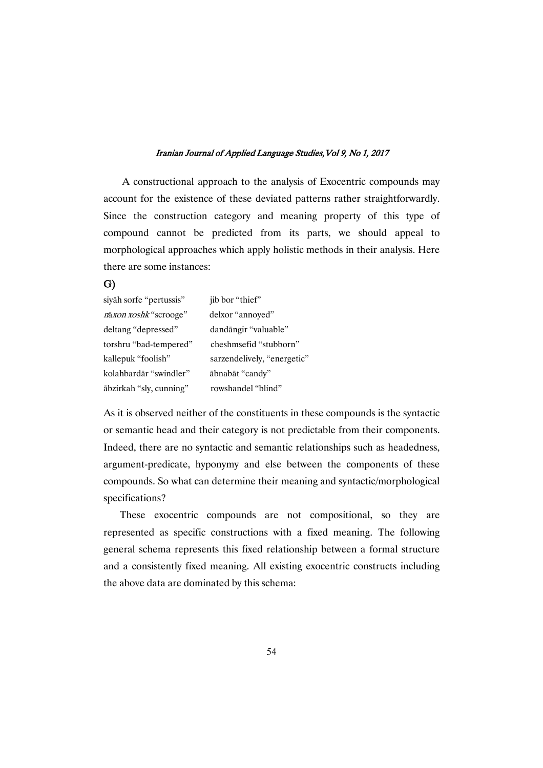A constructional approach to the analysis of Exocentric compounds may account for the existence of these deviated patterns rather straightforwardly. Since the construction category and meaning property of this type of compound cannot be predicted from its parts, we should appeal to morphological approaches which apply holistic methods in their analysis. Here there are some instances:

## G)

| siyah sorfe "pertussis"      | jib bor "thief"             |
|------------------------------|-----------------------------|
| <i>naxon xoshk</i> "scrooge" | delxor "annoyed"            |
| deltang "depressed"          | dandängir "valuable"        |
| torshru "bad-tempered"       | cheshmsefid "stubborn"      |
| kallepuk "foolish"           | sarzendelively, "energetic" |
| kolahbardār "swindler"       | ābnabāt "candy"             |
| ābzirkah "sly, cunning"      | rowshandel "blind"          |

As it is observed neither of the constituents in these compounds is the syntactic or semantic head and their category is not predictable from their components. Indeed, there are no syntactic and semantic relationships such as headedness, argument-predicate, hyponymy and else between the components of these compounds. So what can determine their meaning and syntactic/morphological specifications?

These exocentric compounds are not compositional, so they are represented as specific constructions with a fixed meaning. The following general schema represents this fixed relationship between a formal structure and a consistently fixed meaning. All existing exocentric constructs including the above data are dominated by this schema: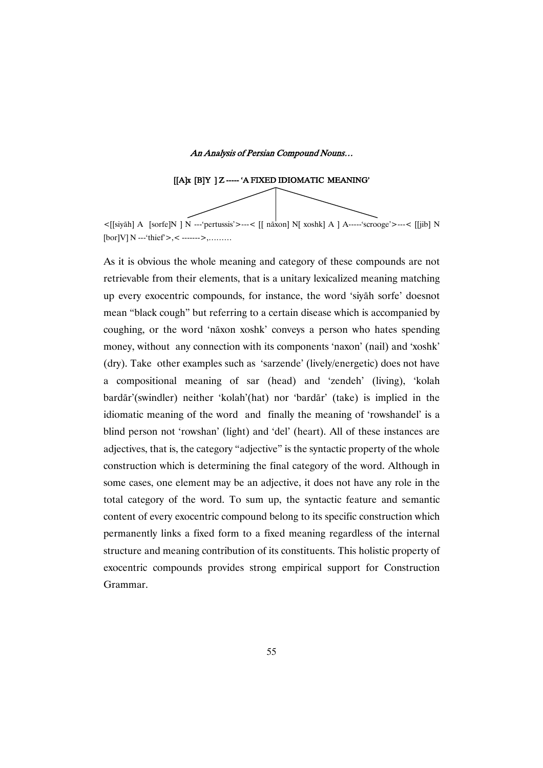

As it is obvious the whole meaning and category of these compounds are not retrievable from their elements, that is a unitary lexicalized meaning matching up every exocentric compounds, for instance, the word 'siyah sorfe' doesnot mean "black cough" but referring to a certain disease which is accompanied by coughing, or the word 'nāxon xoshk' conveys a person who hates spending money, without any connection with its components 'naxon' (nail) and 'xoshk' (dry). Take other examples such as 'sarzende' (lively/energetic) does not have a compositional meaning of sar (head) and 'zendeh' (living), 'kolah bardār'(swindler) neither 'kolah'(hat) nor 'bardār' (take) is implied in the idiomatic meaning of the word and finally the meaning of 'rowshandel' is a blind person not 'rowshan' (light) and 'del' (heart). All of these instances are adjectives, that is, the category "adjective" is the syntactic property of the whole construction which is determining the final category of the word. Although in some cases, one element may be an adjective, it does not have any role in the total category of the word. To sum up, the syntactic feature and semantic content of every exocentric compound belong to its specific construction which permanently links a fixed form to a fixed meaning regardless of the internal structure and meaning contribution of its constituents. This holistic property of exocentric compounds provides strong empirical support for Construction Grammar.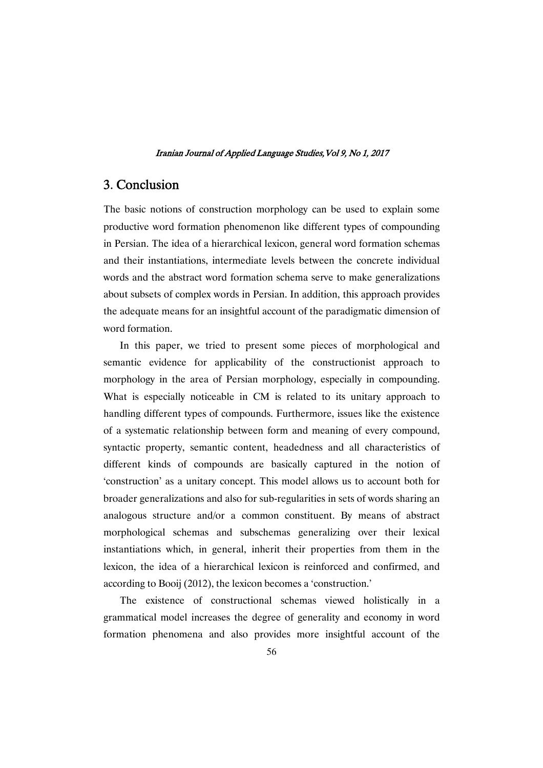# 3. Conclusion

The basic notions of construction morphology can be used to explain some productive word formation phenomenon like different types of compounding in Persian. The idea of a hierarchical lexicon, general word formation schemas and their instantiations, intermediate levels between the concrete individual words and the abstract word formation schema serve to make generalizations about subsets of complex words in Persian. In addition, this approach provides the adequate means for an insightful account of the paradigmatic dimension of word formation.

In this paper, we tried to present some pieces of morphological and semantic evidence for applicability of the constructionist approach to morphology in the area of Persian morphology, especially in compounding. What is especially noticeable in CM is related to its unitary approach to handling different types of compounds. Furthermore, issues like the existence of a systematic relationship between form and meaning of every compound, syntactic property, semantic content, headedness and all characteristics of different kinds of compounds are basically captured in the notion of 'construction' as a unitary concept. This model allows us to account both for broader generalizations and also for sub-regularities in sets of words sharing an analogous structure and/or a common constituent. By means of abstract morphological schemas and subschemas generalizing over their lexical instantiations which, in general, inherit their properties from them in the lexicon, the idea of a hierarchical lexicon is reinforced and confirmed, and according to Booij (2012), the lexicon becomes a 'construction.'

The existence of constructional schemas viewed holistically in a grammatical model increases the degree of generality and economy in word formation phenomena and also provides more insightful account of the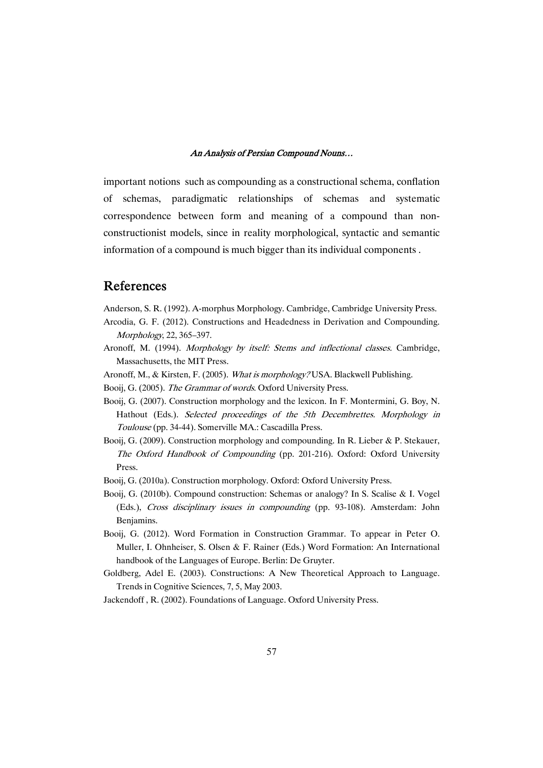important notions such as compounding as a constructional schema, conflation of schemas, paradigmatic relationships of schemas and systematic correspondence between form and meaning of a compound than nonconstructionist models, since in reality morphological, syntactic and semantic information of a compound is much bigger than its individual components .

# References

Anderson, S. R. (1992). A-morphus Morphology. Cambridge, Cambridge University Press.

- Arcodia, G. F. (2012). Constructions and Headedness in Derivation and Compounding. Morphology, 22, 365–397.
- Aronoff, M. (1994). Morphology by itself: Stems and inflectional classes. Cambridge, Massachusetts, the MIT Press.
- Aronoff, M., & Kirsten, F. (2005). What is morphology? USA. Blackwell Publishing.
- Booij, G. (2005). The Grammar of words. Oxford University Press.
- Booij, G. (2007). Construction morphology and the lexicon. In F. Montermini, G. Boy, N. Hathout (Eds.). Selected proceedings of the 5th Decembrettes. Morphology in Toulouse (pp. 34-44). Somerville MA.: Cascadilla Press.
- Booij, G. (2009). Construction morphology and compounding. In R. Lieber & P. Stekauer, The Oxford Handbook of Compounding (pp. 201-216). Oxford: Oxford University Press.
- Booij, G. (2010a). Construction morphology. Oxford: Oxford University Press.
- Booij, G. (2010b). Compound construction: Schemas or analogy? In S. Scalise & I. Vogel (Eds.), Cross disciplinary issues in compounding (pp. 93-108). Amsterdam: John Benjamins.
- Booij, G. (2012). Word Formation in Construction Grammar. To appear in Peter O. Muller, I. Ohnheiser, S. Olsen & F. Rainer (Eds.) Word Formation: An International handbook of the Languages of Europe. Berlin: De Gruyter.
- Goldberg, Adel E. (2003). Constructions: A New Theoretical Approach to Language. Trends in Cognitive Sciences, 7, 5, May 2003.
- Jackendoff , R. (2002). Foundations of Language. Oxford University Press.